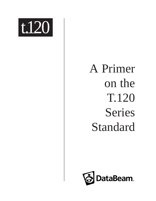

# A Primer on the T.120 Series Standard

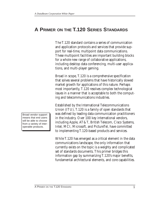# **A PRIMER ON THE T.120 SERIES STANDARDS**

The T.120 standard contains a series of communication and application protocols and services that provide support for real-time, multipoint data communications. These multipoint facilities are important building blocks for a whole new range of collaborative applications, including desktop data conferencing, multi-user applications, and multi-player gaming.

Broad in scope, T.120 is a comprehensive specification that solves several problems that have historically slowed market growth for applications of this nature. Perhaps most importantly, T.120 resolves complex technological issues in a manner that is acceptable to both the computing and telecommunications industries.

Established by the International Telecommunications Union (ITU), T.120 is a family of open standards that was defined by leading data communication practitioners in the industry. Over 100 key international vendors, including Apple, AT&T, British Telecom, Cisco Systems, Intel, MCI, Microsoft, and PictureTel, have committed to implementing T.120-based products and services.

While T.120 has emerged as a critical element in the data communications landscape, the only information that currently exists on the topic is a weighty and complicated set of standards documents. This primer bridges this information gap by summarizing T.120's major benefits, fundamental architectural elements, and core capabilities.

Broad vendor support means that end users will be able to choose from a variety of interoperable products.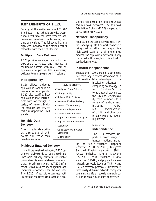# **KEY BENEFITS OF T.120**

So why all the excitement about T.120? The bottom line is that it provides exceptional benefits to end users, vendors, and developers tasked with implementing realtime applications. The following list is a high-level overview of the major benefits associated with the T.120 standard:

## **Multipoint Data Delivery**

T.120 provides an elegant abstraction for developers to create and manage a multipoint domain with ease. From an application perspective, data is seamlessly delivered to multiple parties in "realtime."

## **Interoperability**

T.120 allows endpoint applications from multiple vendors to interoperate. T.120 also specifies how applications may interoperate with (or through) a variety of network bridging products and services that also support the T.120 standard.

## **Reliable Data Delivery**

Error-corrected data delivery ensures that all endpoints will receive each data transmission.

## **Multicast Enabled Delivery**

In muliticast enabled networks, T.120 can employ reliable (ordered, guaranteed) and unreliable delivery services. Unreliable data delivery is also available without multicast. By using multicast, the T.120 infrastructure reduces network congestion and improves performance for the end user. The T.120 infrastructure can use both unicast and multicast simultaneously, providing a flexible solution for mixed unicast and multicast networks. The Multicast Adaptation Protocol (MAP) is expected to be ratified in early 1998.

## **Network Transparency**

Applications are completely shielded from the underlying data transport mechanism being used. Whether the transport is a high-speed LAN or a simple dial-up modem, the application developer is only concerned with a single, consistent set of application services.

## **Platform Independence**

Because the T.120 standard is completely free from any platform dependencies, it will readily take advantage of the

> inevitable advances in computing technology. In fact, DataBeam's customers have already ported the T.120 source code easily from Windows to a variety of environments, including OS/2, MAC/OS, several versions of UNIX, and other proprietary real-time operating systems.

## **Network Independence**

The T.120 standard supports a broad range of transport options, includ-

ing the Public Switched Telephone Networks (PSTN or POTS), Integrated Switched Digital Networks (ISDN), Packet Switched Digital Networks (PSDN), Circuit Switched Digital Networks (CSDN), and popular local area network protocols (such as TCP/IP and IPX via reference protocol). Furthermore, these vastly different network transports, operating at different speeds, can easily coexist in the same multipoint conference.

## **T.120 BENEFITS**

- ✔ Multipoint Data Delivery
- $\checkmark$  Interoperability
- $\checkmark$  Reliable Data Delivery
- ✔ Multicast Enabled Delivery
- $\checkmark$  Network Transparency
- $\checkmark$  Platform Independence
- $\checkmark$  Network Independence
- ✔ Support for Varied Topologies
- ✔ Application Independence
- $\checkmark$  Scalability
- $\checkmark$  Co-existence with Other **Standards**
- $\checkmark$  Extendability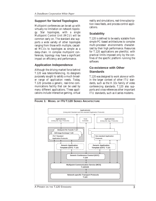#### **Support for Varied Topologies**

Multipoint conferences can be set up with virtually no limitation on network topology. Star topologies, with a single Multipoint Control Unit (MCU) will be common early on. The standard also supports a wide variety of other topologies ranging from those with multiple, cascaded MCUs to topologies as simple as a daisy-chain. In complex multipoint conferences, topology may have a significant impact on efficiency and performance.

#### **Application Independence**

Although the driving market force behind T.120 was teleconferencing, its designers purposely sought to satisfy a much broader range of application needs. Today, T.120 provides a generic, real-time communications facility that can be used by many different applications. These applications include interactive gaming, virtual reality and simulations, real-time subscription news feeds, and process control applications.

#### **Scalability**

T.120 is defined to be easily scalable from simple PC-based architectures to complex multi-processor environments characterized by their high performance. Resources for T.120 applications are plentiful, with practical limits imposed only by the confines of the specific platform running the software.

#### **Co-existence with Other Standards**

T.120 was designed to work alone or within the larger context of other ITU standards, such as the H.32x family of video conferencing standards. T.120 also supports and cross-references other important ITU standards, such as V.series modems.



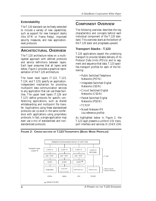## **Extendability**

The T.120 standard can be freely extended to include a variety of new capabilities, such as support for new transport stacks (like ATM or Frame Relay), improved security measures, and new applicationlevel protocols.

## **ARCHITECTURAL OVERVIEW**

The T.120 architecture relies on a multilayered approach with defined protocols and service definitions between layers. Each layer presumes that all layers exist below. Figure 1 provides a graphical representation of the T.120 architecture.

The lower level layers (T.122, T.123, T.124, and T.125) specify an applicationindependent mechanism for providing multipoint data communication services to any application that can use these facilities. The upper level layers (T.126 and T.127) define protocols for specific conferencing applications, such as shared whiteboarding and multipoint file transfer. Applications using these standardized protocols can co-exist in the same conference with applications using proprietary protocols. In fact, a single application may even use a mix of standardized and nonstandardized protocols.

## **COMPONENT OVERVIEW**

The following overview describes the key characteristics and concepts behind each individual component of the T.120 standard. This overview starts at the bottom of the T.120 stack and progresses upward.

### **Transport Stacks - T.123**

T.120 applications expect the underlying transport to provide reliable delivery of its Protocol Data Units (PDUs) and to segment and sequence that data. T.123 specifies transport profiles for each of the following:

- Public Switched Telephone • Networks (PSTN)
- Integrated Switched Digital • Networks (ISDN)
- Circuit Switched Digital Networks (CSDN)
- Packet Switched Digital • Networks (PSDN)
- TCP/IP
- Novell Netware IPX • (via reference profile)

As highlighted below in Figure 2, the T.123 layer presents a uniform OSI transport interface and services (X.214/X.224)



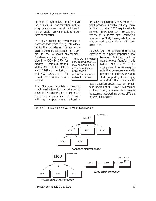to the MCS layer above. The T.123 layer includes built-in error correction facilities so application developers do not have to rely on special hardware facilities to perform this function.

In a given computing environment, a transport stack typically plugs into a local facility that provides an interface to the specific transport connection. For example, in the Windows environment,

DataBeam's transport stacks plug into COMM.DRV for modem communications, WINSOCK.DLL for TCP/IP and UDP/IP communications, and NWIPXSPX. DLL for Novell IPX communications support.

The Multicast Adaptation Protocol (MAP) service layer is a new extension to MCS. MAP manages unicast- and multicast-based transports. MAP can be used with any transport where multicast is available, such as IP networks. While multicast provides unreliable delivery, many applications using T.120 require reliable services. Developers can incorporate a variety of multicast error correction schemes into MAP, thereby selecting the scheme most closely aligned with their application.

In 1996, the ITU is expected to adopt extensions to support important new

> transport facilities, such as Asynchronous Transfer Mode (ATM) and H.324 POTS videophone. It is necessary to note that developers can easily produce a proprietary transport stack (supporting, for example, AppleTalk) that transparently

uses the services above T.123. An important function of MCUs or T.120-enabled bridges, routers, or gateways is to provide transparent interworking across different network boundaries.

#### **FIGURE 3: EXAMPLES OF VALID MCS TOPOLOGIES**



The MCU is a logical construct whose role may be served by a node on a desktop or by specialpurpose equipment within the network.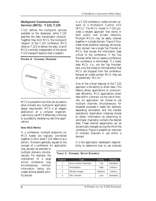#### **Multipoint Communication Service (MCS) - T.122, T.125**

T.122 defines the multipoint services available to the developer, while T.125 specifies the data transmission protocol. Together they form MCS, the multipoint "engine" of the T.120 conference. MCS relies on T.123 to deliver the data. (Use of MCS is entirely independent of the actual T.123 transport stack(s) that is loaded.)

#### **FIGURE 4: CHANNEL DIAGRAM**



MCS is a powerful tool that can be used to solve virtually any multipoint application design requirement. MCS is an elegant abstraction of a complex organism. Learning to use MCS effectively is the key to successfully developing real-time applications.

#### **How MCS Works**

In a conference, multiple endpoints (or MCS *nodes*) are logically connected together to form what T.120 refers to as a *domain*. Domains generally equate to the concept of a conference. An application

may actually be *attached* to multiple domains simultaneously. For example, the chairperson of a large online conference may simultaneously monitor information being discussed among several activity groups.

In a T.120 conference, nodes connect upward to a Multipoint Control Unit (MCU). The MCU model in T.120 provides a reliable approach that works in both public and private networks. Multiple MCUs may be easily chained together in a single domain. Figure 3 illustrates three potential topology structures. Each domain has a single *Top Provider* or MCU that houses the information base critical to the conference. If the Top Provider either fails or leaves a conference, the conference is terminated. If a lower level MCU (i.e., not the Top Provider) fails, only the nodes on the tree below that MCU are dropped from the conference. Because all nodes contain MCS, they are all potentially "MCUs."

One of the critical features of the T.120 approach is the ability to direct data. This feature allows applications to communicate efficiently. MCS applications direct data within a domain via the use of *channels*. An application can choose to use multiple channels simultaneously for whatever purposes it needs (for example, separating annotation and file transfer operations). Application instances choose to obtain information by *subscribing* to whichever channel(s) contains the desired data. These channel assignments can be dynamically changed during the life of the conference. Figure 4 presents an overview of multiple channels in use within a domain.

It is the application developer's responsibility to determine how to use channels

#### **TABLE 1: CHANNEL SETUP EXAMPLE**

| Channel | Type                          | Priority | Routing  |
|---------|-------------------------------|----------|----------|
|         | <b>Error Control Channels</b> | Top      | Standard |
| 2       | Annotations                   | High     | Uniform  |
| 3       | <b>Bitmap Images</b>          | Medium   | Uniform  |
| 4       | File Transfer                 | Low      | Standard |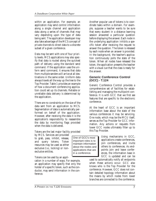within an application. For example, an application may send control information along a single channel and application data along a series of channels that may vary depending upon the type of data being sent. The application developer may also take advantage of the MCS concept of *private channels* to direct data to a discrete subset of a given conference.

Data may be sent with one of four *priority* levels. MCS applications may also specify that data is routed along the quickest path of delivery using the *standard* send command. If the application uses the *uniform* send command, it ensures that data from multiple senders will arrive at all destinations in the same order. Uniform data always travels all the way up the tree to the Top Provider. Table 1 provides an example of how a document conferencing application could set up its channels. Reliable or unreliable data delivery is determined by the application.

There are no constraints on the size of the data sent from an application to MCS. Segmentation of data is automatically performed on behalf of the application. However, after receiving the data it is the application's responsibility to reassemble the data by monitoring flags provided when the data is delivered.

*Tokens* are the last major facility provided

by MCS. Services are provided to grab, pass, inhibit, release, and query tokens. Token resources may be used as either exclusive (i.e., locking) or nonexclusive entities.

Tokens can be used by an appli-

cation in a number of ways. For example, an application may specify that only the holder of a specific token, such as the conductor, may send information in the conference.

Another popular use of tokens is to coordinate tasks within a domain. For example, suppose a teacher wants to be sure that every student in a distance learning session answered a particular question before displaying the answer. Each node in the underlying application *inhibits* a specific token after receiving the request to answer the question. The token is released by each node when an answer is provided. In the background, the teacher's application continuously polls the state of the token. When all nodes have released the token, the application presents the teacher with a visual cue that the class is ready for the answer.

#### **Generic Conference Control (GCC) - T.124**

Generic Conference Control provides a comprehensive set of facilities for establishing and managing the multipoint conference. It is with GCC that we first see features that are specific to the electronic conference.

At the heart of GCC is an important information base about the state of the various conferences it may be servicing. One node, which may be the MCU itself, serves as the Top Provider for GCC information. Any actions or requests from lower GCC nodes ultimately filter up to this Top Provider.

> Using mechanisms in GCC, applications create conferences, join conferences, and invite others to conferences. As endpoints join and leave conferences, the information base in GCC is updated and can be

used to automatically notify all endpoints when these actions occur. GCC also knows who is the Top Provider for the conference. However, GCC does not contain detailed topology information about the means by which nodes from lower branches are connected to the conference.

One of GCC's most important roles is to maintain information about the nodes and applications that are in a conference.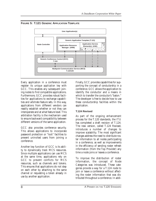**FIGURE 5: T.121 GENERIC APPLICATION TEMPLATE**



Every application in a conference must register its unique *application key* with GCC. This enables any subsequent joining nodes to find compatible applications. Furthermore, GCC provides robust facilities for applications to exchange capabilities and arbitrate feature sets. In this way, applications from different vendors can readily establish whether or not they can interoperate and at what feature level. This arbitration facility is the mechanism used to ensure backward compatibility between different versions of the same application.

GCC also provides conference security. This allows applications to incorporate password protection or "lock" facilities to prevent uninvited users from joining a conference.

Another key function of GCC is its ability to dynamically track MCS resources. Since multiple applications can use MCS at the same time, applications rely on GCC to prevent conflicts for MCS resources, such as channels and tokens. This ensures that applications do not step on each other by attaching to the same channel or requesting a token already in use by another application.

Finally, GCC provides capabilities for supporting the concept of *conductorship* in a conference. GCC allows the application to identify the conductor and a means in which to transfer the conductor's "baton." The developer is free to decide how to use these conductorship facilities within the application.

#### **T.124 Revised**

As part of the ongoing enhancement process for the T.120 standards, the ITU has completed a draft revision of T.124. The new version, called T.124 Revised, introduces a number of changes to improve scalability. The most significant changes address the need to distribute roster information to all nodes participating in a conference, as well as improvements in the efficiency of sending roster refresh information (from the Top Provider) any time a node joins or leaves a conference.

To improve the distribution of roster information, the concept of Node Categories was introduced. These categories provide a way for a T.124 node to join or leave a conference without affecting the roster information that was distributed throughout a conference. In addi-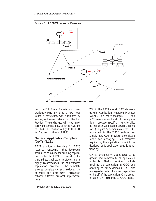

**FIGURE 6: T.126 WORKSPACE DIAGRAM**

tion, the Full Roster Refresh, which was previously sent any time a new node joined a conference, was eliminated by sending out roster details from the Top Provder. These changes will not affect backward compatibility to earlier revisions of T.124. This revision will go to the ITU for Decision in March of 1998.

#### **Generic Application Template (GAT) - T.121**

T.121 provides a template for T.120 resource management that developers should use as a guide for building application protocols. T.121 is mandatory for standardized application protocols and is highly recommended for non-standard application protocols. The template ensures consistency and reduces the potential for unforeseen interaction between different protocol implementations.

Within the T.121 model, GAT defines a generic Application Resource Manager (ARM). This entity manages GCC and MCS resources on behalf of the application protocol-specific functionality defined as an Application Service Element (ASE). Figure 5 demonstrates the GAT model within the T.120 architecture. Simply put, GAT provides a consistent model for managing T.120 resources required by the application to which the developer adds application-specific functionality.

GAT's functionality is considered to be generic and common to all application protocols. GAT's services include enrolling the application in GCC and attaching to MCS domains. GAT also manages channels, tokens, and capabilities on behalf of the application. On a broader scale, GAT responds to GCC indica-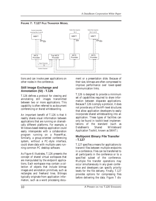**FIGURE 7: T.127 FILE TRANSFER MODEL**



tions and can invoke peer applications on other nodes in the conference.

#### **Still Image Exchange and Annotation (SI) - T.126**

T.126 defines a protocol for viewing and annotating still images transmitted between two or more applications. This capability is often referred to as document conferencing or *shared whiteboarding.* 

An important benefit of T.126 is that it readily shares visual information between applications that are running on dramatically different platforms. For example, a Windows-based desktop application could easily interoperate with a collaboration program running on a PowerMac. Similarly, a group-oriented conferencing system, without a PC-style interface, could share data with multiple users running common PC desktop software.

As Figure 6 illustrates, T.126 presents the concept of shared virtual *workspaces* that are manipulated by the endpoint applications. Each workspace may contain a collection of objects that include bitmap images and annotation primitives, such as rectangles and freehand lines. Bitmaps typically originate from application information, such as a word processing docu-

ment or a presentation slide. Because of their size, bitmaps are often compressed to improve performance over lower-speed communication links.

T.126 is designed to provide a minimum set of capabilities required to share information between disparate applications. Because T.126 is simply a protocol, it does not provide any of the API-level structures that allow application developers to easily incorporate shared whiteboarding into an application. These types of facilities can only be found in toolkit-level implementations of the standard (such as DataBeam's Shared Whiteboard Application Toolkit, known as SWAT).

#### **Multipoint Binary File Transfer - T.127**

T.127 specifies a means for applications to transmit files between multiple endpoints in a conference. Files can be transferred to all participants in the conference or to a specified subset of the conference. Multiple file transfer operations may occur simultaneously in any given conference and developers can specify priority levels for the file delivery. Finally, T.127 provides options for compressing files before delivering the data. Figure 7 dis-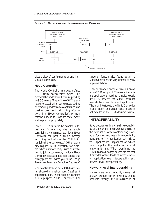

#### **FIGURE 8: NETWORK-LEVEL INTEROPERABILITY DIAGRAM**

plays a view of conference-wide and individual file transfers.

#### **Node Controller**

The Node Controller manages defined GCC Service Access Points (SAPs). This provides the node flexibility in responding to GCC events. Most of these GCC events relate to establishing conferences, adding or removing nodes from a conference, and breaking down and distributing information. The Node Controller's primary responsibility is to translate these events and respond appropriately.

Some GCC events can be handled automatically; for example, when a remote party joins a conference, each local Node Controller can post a simple message informing the local user that "Bill Smith has joined the conference." Other events may require user intervention; for example, when a remote party issues an invitation to join a conference, the local Node Controller posts a dialog box stating that "Mary Jones has invited you to the Design Review conference. <Accept> <Decline>."

Node controllers can be MCU-based, terminal-based, or dual-purpose. DataBeam's application, FarSite, for example, contains a dual-purpose Node Controller. The range of functionality found within a Node Controller can vary dramatically by implementation.

Only one Node Controller can exist on an active T.120 endpoint. Therefore, if multiple applications need to simultaneously use T.120 services, the Node Controller needs to be accessible to each application. The local interface to the Node Controller is application- and vendor-specific and is not detailed in the T.120 documentation.

## **INTEROPERABILITY**

Buyers overwhelmingly rate interoperability as the number one purchase criteria in their evaluation of teleconferencing products. For most end users, interoperability translates to "my application can talk to your application"—regardless of which vendor supplied the product or on what platform it runs. When examining the T.120 standard closely, buyers can see that it provides for two levels of interoperability: application-level interoperability and network-level interoperability.

#### **Network-level Interoperability**

Network-level interoperability means that a given product can interwork with like products through the infrastructure of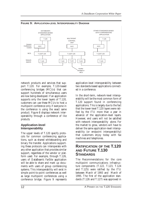

#### **FIGURE 9: APPLICATION-LEVEL INTEROPERABILITY DIAGRAM**

network products and services that support T.120. For example, T.120-based conferencing bridges (MCUs) that can support hundreds of simultaneous users are now being developed. If an application supports only the lower layers of T.120, customers can use these MCUs to host a multipoint conference only if everyone in the conference is using the exact same product. Figure 8 displays network interoperability through a conference of *like products.*

#### **Application-level Interoperability**

The upper levels of T.120 specify protocols for common conferencing applications, such as shared whiteboarding and binary file transfer. Applications supporting these protocols can interoperate with any other application that provides similar support, regardless of the vendor or platform used. For example, through T.126, users of DataBeam's FarSite application will be able to share and mark up documents with users of group conferencing systems. This interoperability will exist in simple point-to-point conferences as well as large multipoint conferences using a conference bridge. Figure 9 represents

application-level interoperability between two standards-based applications connected in a conference.

In the short-term, network-level interoperability will be the most common form of T.120 support found in conferencing applications. This is largely due to the fact that the lower-level T.120 layers were ratified by the ITU more than a year in advance of the application-level layers. However, end users will not be satisfied with network interoperability alone. For the market to grow, vendors will have to deliver the same application-level interoperability (or endpoint interoperability) that customers enjoy today with fax machines and telephones.

## **RATIFICATION OF THE T.120 AND FUTURE T.130 STANDARDS**

The Recommendations for the core multipoint communications infrastructure components (T.122, T.123, T.124 and T.125) were ratified by the ITU between March of 1993 and March of 1995. The first of the application standards (T.126 and T.127) was approved in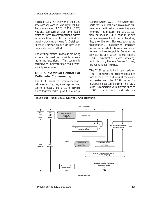March of 1995. An overview of the T.120 series was approved in February of 1996 as Recommendation T.120. T.121 (GAT) was also approved at that time. Stable drafts of these recommendations existed for some time prior to the ratification, thereby providing a means for DataBeam to actively develop products in parallel to the standardization effort.

The existing ratified standards are being actively discussed for possible amendments and extensions. This commonly occurs when implementation and interoperability issues arise.

#### **T.130 Audio-visual Control For Multimedia Conferencing**

The T.130 series of recommendations define an architecture, a management and control protocol, and a set of services which together make up an Audio-Visual Control system (AVC). This system supports the use of real-time streams and services in a multimedia conferencing environment. The protocol and services section, outlined in T.132, consists of two parts: management and control. Together, they allow Network Elements, such as the traditional MCU, Gateway, or Conference Server, to provide T.132 audio and video services to their endpoints. Some of the services include Stream Identification, On-Air Identification, Video Switching, Audio Mixing, Remote Device Control, and Continuous Presence.

The T.130 series is built upon existing ITU-T conferencing recommendations such as the H.320 audio-visual conferencing series and the T.120 series for multipoint data conferencing. The T.130 series is compatible with systems, such as H.323, in which audio and video are



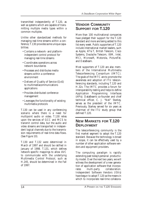transmitted independently of T.120, as well as systems which are capable of transmitting multiple media types within a common multiplex.

Unlike other standardized methods for managing real-time streams within a conference, T.130 provides some unique capabilities:

- Contains a network- and platform- • independent control protocol for • managing real-time streams
- Coordinates operations across • network boundaries
- Processes and distributes media streams within a conference • environment
- Delivers of Quality of Service (QoS) to multimediacommunications • applications
- Provides distributed conference • management
- Leverages the functionality of existing • multimedia protocols

T.130 can be used in any conferencing scenario where there is a need for multipoint audio or video. T.130 relies upon the services of GCC and MCS to transmit control data, but the audio and video streams are transported in independent logical channels due to the transmission requirements of real-time data flows. (See Figure 10).

T.130 and T.132 were determined in March of 1997 and should be ratified in January of 1998. T.131, which defines network-specific mappings to allow AVC to communicate with the underlying Multimedia Control Protocol, such as H.245, should be determined in the Fall of 1997.

## **VENDOR COMMUNITY SUPPORT FOR T.120**

More than 100 multinational companies have pledged their support for the T.120 standard and more are being added to this list every week. Public supporters of T.120 include international market leaders, such as Apple, AT&T, British Telecom, Cisco Systems, Deutsche Telecom, IBM, Intel, MCI, Microsoft, Motorola, PictureTel, and DataBeam.

Most supporters of T.120 are also members of the International Multimedia Teleconferencing Consortium (IMTC). The goals of the IMTC are to promote the awareness and adoption of ITU teleconferencing standards, including T.120 and H.32x. The IMTC provides a forum for interoperability testing and helps to define Application Programming Interfaces (APIs). DataBeam's co-founder and chief technical officer, C. J. "Neil" Starkey, serves as the president of the IMTC. Previously, Starkey served for six years as chairman of the ITU study group that defined T.120.

## **NEW MARKETS FOR T.120 DEPLOYMENT**

The teleconferencing community is the first market segment to adopt the T.120 standard. Because the technology is broad in scope, it can be effectively used by a number of other application software vendors and equipment providers.

The computing paradigm is rapidly extending past today's personal productivity model. Over the next two years, we will witness the development of a new generation of application software that incorporates multi-party collaboration. Independent Software Vendors (ISVs) have begun to adopt T.120 as the means in which to incorporate real-time collabora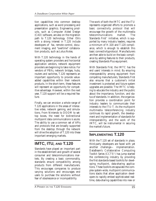tion capabilities into common desktop applications, such as word processing and presentation graphics. Engineering products, such as Computer Aided Design (CAD) software, are also on the migration path to T.120 technology. Other ISVs with a strong interest in T.120 include developers of fax, remote control, document imaging, and "overtime" collaboration products, such as Lotus Notes.

With T.120 technology in the hands of operating system providers and horizontal application vendors, network equipment providers are beginning to take notice. For vendors of PBXs, network bridges, hubs, routers and switches, T.120 represents an important opportunity to provide valueadded capabilities within their network products. In the short-term, these features will represent an opportunity for competitive advantage. However, within the next year, T.120 support will be a required feature.

Finally, we can envision a whole range of T.120 applications in the areas of interactive video, network gaming, and simulations. From Nintendo to DOOM to settop boxes, the need for bidirectional multipoint data communications is acute. The ability to use a common set of APIs and protocols that are broadly supported from the desktop through the network will drive the adoption of T.120 into these important emerging markets.

## **IMTC, ITU, AND T.120**

Standards have played an important part in the establishment and growth of several consumer and telecommunications markets. By creating a basic commonality, standards ensure compatibility among products from different manufacturers. This encourages companies to produce varying solutions and encourages end users to purchase the solutions without fear of obsolescence or incompatibility.

The work of both the IMTC and the ITU represents organized efforts to promote a basic connectivity protocol that will encourage the growth of the multimedia telecommunications market. The Standards First<sup> $M$ </sup> initiative, which is supported by many industry leaders, requires a minimum of H.320 and T.120 compliance, which is enough to establish this basic connectivityprotocol. Manufacturers are then able to build on the basic compliance by adding features to their products, creating Standards Plus equipment.

With Standards First, the IMTC has the end users' interests in mind. By ensuring interoperability among equipment from competing manufacturers, Standards First also ensures that a customer's initial investment is protected and future system upgrades are possible. The IMTC is helping to educate the industry and the public about the importance, function, and status of standards. In addition, the organization provides a coordination point for industry leaders to communicate their interests to the ITU-T. As the multipoint multimedia teleconferencing industry continues its rapid growth, the development and implementation of standards for interoperability, and the work of the IMTC, will be instrumental in securing the market's future.

## **IMPLEMENTING T.120**

With the T.120 set of standards in place, third-party developers are faced with yet another challenge— implementation. DataBeam's Collaborative Computing Toolkit Series (CCTS<sup>TM</sup>) has jump-started the conferencing industry by providing the first standards-based toolkits for developing multipoint, data-sharing applications. These toolkits encapsulate the complex system-wide, multipoint communications stacks that allow application developers to rapidly embed sophisticated realtime, data-sharing capabilities into new or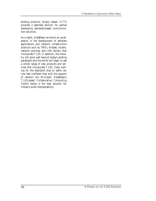existing products. Simply stated, CCTS provides a seamless solution for parties developing standards-based communication solutions.

As a result, DataBeam envisions an acceleration in the development of software applications and network infrastructure products such as, PBXs, bridges, routers, network switches, and LAN servers, that incorporate T.120. In addition, the industry will grow well beyond today's existing paradigms and the world will begin to see a whole range of new products and services that incorporate T.120. Users waiting for the standards dust to settle can now feel confident that with the support of vendors like Microsoft, DataBeam's T.120-based Collaborative Computing Toolkit Series is the best solution for industry-wide interoperability.